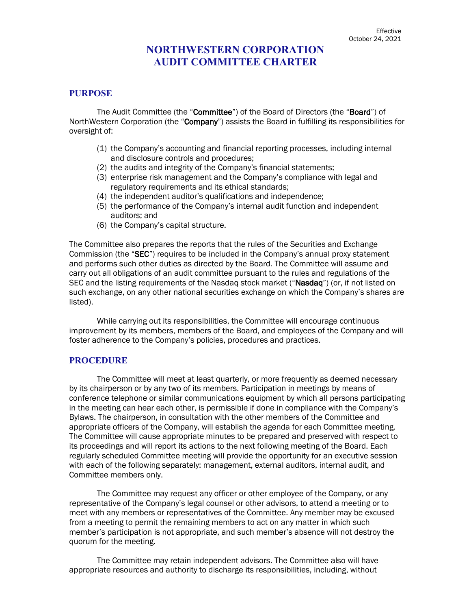# **NORTHWESTERN CORPORATION AUDIT COMMITTEE CHARTER**

### **PURPOSE**

The Audit Committee (the "Committee") of the Board of Directors (the "Board") of NorthWestern Corporation (the "Company") assists the Board in fulfilling its responsibilities for oversight of:

- (1) the Company's accounting and financial reporting processes, including internal and disclosure controls and procedures;
- (2) the audits and integrity of the Company's financial statements;
- (3) enterprise risk management and the Company's compliance with legal and regulatory requirements and its ethical standards;
- (4) the independent auditor's qualifications and independence;
- (5) the performance of the Company's internal audit function and independent auditors; and
- (6) the Company's capital structure.

The Committee also prepares the reports that the rules of the Securities and Exchange Commission (the "SEC") requires to be included in the Company's annual proxy statement and performs such other duties as directed by the Board. The Committee will assume and carry out all obligations of an audit committee pursuant to the rules and regulations of the SEC and the listing requirements of the Nasdaq stock market ("Nasdaq") (or, if not listed on such exchange, on any other national securities exchange on which the Company's shares are listed).

While carrying out its responsibilities, the Committee will encourage continuous improvement by its members, members of the Board, and employees of the Company and will foster adherence to the Company's policies, procedures and practices.

### **PROCEDURE**

The Committee will meet at least quarterly, or more frequently as deemed necessary by its chairperson or by any two of its members. Participation in meetings by means of conference telephone or similar communications equipment by which all persons participating in the meeting can hear each other, is permissible if done in compliance with the Company's Bylaws. The chairperson, in consultation with the other members of the Committee and appropriate officers of the Company, will establish the agenda for each Committee meeting. The Committee will cause appropriate minutes to be prepared and preserved with respect to its proceedings and will report its actions to the next following meeting of the Board. Each regularly scheduled Committee meeting will provide the opportunity for an executive session with each of the following separately: management, external auditors, internal audit, and Committee members only.

The Committee may request any officer or other employee of the Company, or any representative of the Company's legal counsel or other advisors, to attend a meeting or to meet with any members or representatives of the Committee. Any member may be excused from a meeting to permit the remaining members to act on any matter in which such member's participation is not appropriate, and such member's absence will not destroy the quorum for the meeting.

The Committee may retain independent advisors. The Committee also will have appropriate resources and authority to discharge its responsibilities, including, without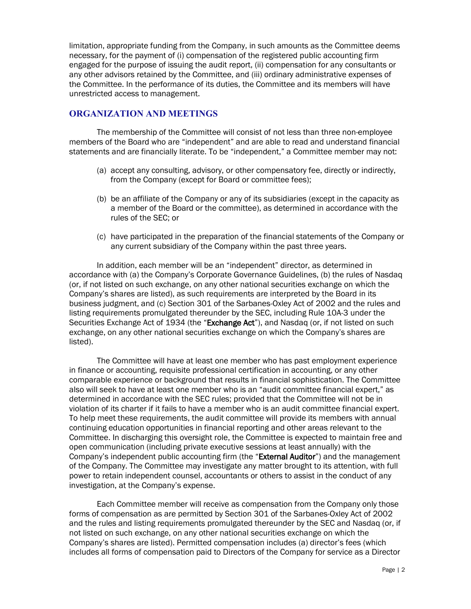limitation, appropriate funding from the Company, in such amounts as the Committee deems necessary, for the payment of (i) compensation of the registered public accounting firm engaged for the purpose of issuing the audit report, (ii) compensation for any consultants or any other advisors retained by the Committee, and (iii) ordinary administrative expenses of the Committee. In the performance of its duties, the Committee and its members will have unrestricted access to management.

## **ORGANIZATION AND MEETINGS**

The membership of the Committee will consist of not less than three non-employee members of the Board who are "independent" and are able to read and understand financial statements and are financially literate. To be "independent," a Committee member may not:

- (a) accept any consulting, advisory, or other compensatory fee, directly or indirectly, from the Company (except for Board or committee fees);
- (b) be an affiliate of the Company or any of its subsidiaries (except in the capacity as a member of the Board or the committee), as determined in accordance with the rules of the SEC; or
- (c) have participated in the preparation of the financial statements of the Company or any current subsidiary of the Company within the past three years.

In addition, each member will be an "independent" director, as determined in accordance with (a) the Company's Corporate Governance Guidelines, (b) the rules of Nasdaq (or, if not listed on such exchange, on any other national securities exchange on which the Company's shares are listed), as such requirements are interpreted by the Board in its business judgment, and (c) Section 301 of the Sarbanes-Oxley Act of 2002 and the rules and listing requirements promulgated thereunder by the SEC, including Rule 10A-3 under the Securities Exchange Act of 1934 (the "Exchange Act"), and Nasdag (or, if not listed on such exchange, on any other national securities exchange on which the Company's shares are listed).

The Committee will have at least one member who has past employment experience in finance or accounting, requisite professional certification in accounting, or any other comparable experience or background that results in financial sophistication. The Committee also will seek to have at least one member who is an "audit committee financial expert," as determined in accordance with the SEC rules; provided that the Committee will not be in violation of its charter if it fails to have a member who is an audit committee financial expert. To help meet these requirements, the audit committee will provide its members with annual continuing education opportunities in financial reporting and other areas relevant to the Committee. In discharging this oversight role, the Committee is expected to maintain free and open communication (including private executive sessions at least annually) with the Company's independent public accounting firm (the "External Auditor") and the management of the Company. The Committee may investigate any matter brought to its attention, with full power to retain independent counsel, accountants or others to assist in the conduct of any investigation, at the Company's expense.

Each Committee member will receive as compensation from the Company only those forms of compensation as are permitted by Section 301 of the Sarbanes-Oxley Act of 2002 and the rules and listing requirements promulgated thereunder by the SEC and Nasdaq (or, if not listed on such exchange, on any other national securities exchange on which the Company's shares are listed). Permitted compensation includes (a) director's fees (which includes all forms of compensation paid to Directors of the Company for service as a Director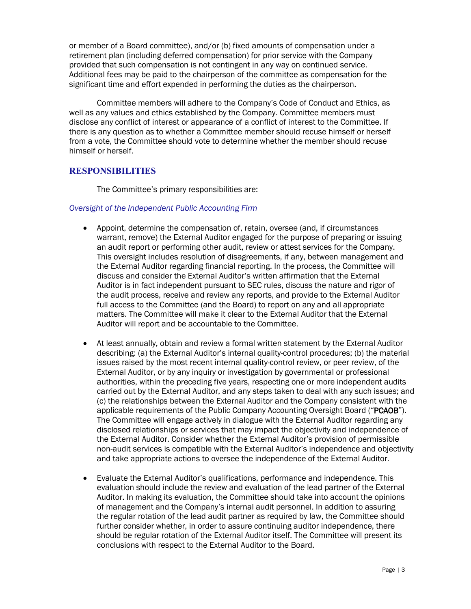or member of a Board committee), and/or (b) fixed amounts of compensation under a retirement plan (including deferred compensation) for prior service with the Company provided that such compensation is not contingent in any way on continued service. Additional fees may be paid to the chairperson of the committee as compensation for the significant time and effort expended in performing the duties as the chairperson.

Committee members will adhere to the Company's Code of Conduct and Ethics, as well as any values and ethics established by the Company. Committee members must disclose any conflict of interest or appearance of a conflict of interest to the Committee. If there is any question as to whether a Committee member should recuse himself or herself from a vote, the Committee should vote to determine whether the member should recuse himself or herself.

## **RESPONSIBILITIES**

The Committee's primary responsibilities are:

#### *Oversight of the Independent Public Accounting Firm*

- Appoint, determine the compensation of, retain, oversee (and, if circumstances warrant, remove) the External Auditor engaged for the purpose of preparing or issuing an audit report or performing other audit, review or attest services for the Company. This oversight includes resolution of disagreements, if any, between management and the External Auditor regarding financial reporting. In the process, the Committee will discuss and consider the External Auditor's written affirmation that the External Auditor is in fact independent pursuant to SEC rules, discuss the nature and rigor of the audit process, receive and review any reports, and provide to the External Auditor full access to the Committee (and the Board) to report on any and all appropriate matters. The Committee will make it clear to the External Auditor that the External Auditor will report and be accountable to the Committee.
- At least annually, obtain and review a formal written statement by the External Auditor describing: (a) the External Auditor's internal quality-control procedures; (b) the material issues raised by the most recent internal quality-control review, or peer review, of the External Auditor, or by any inquiry or investigation by governmental or professional authorities, within the preceding five years, respecting one or more independent audits carried out by the External Auditor, and any steps taken to deal with any such issues; and (c) the relationships between the External Auditor and the Company consistent with the applicable requirements of the Public Company Accounting Oversight Board ("PCAOB"). The Committee will engage actively in dialogue with the External Auditor regarding any disclosed relationships or services that may impact the objectivity and independence of the External Auditor. Consider whether the External Auditor's provision of permissible non-audit services is compatible with the External Auditor's independence and objectivity and take appropriate actions to oversee the independence of the External Auditor.
- Evaluate the External Auditor's qualifications, performance and independence. This evaluation should include the review and evaluation of the lead partner of the External Auditor. In making its evaluation, the Committee should take into account the opinions of management and the Company's internal audit personnel. In addition to assuring the regular rotation of the lead audit partner as required by law, the Committee should further consider whether, in order to assure continuing auditor independence, there should be regular rotation of the External Auditor itself. The Committee will present its conclusions with respect to the External Auditor to the Board.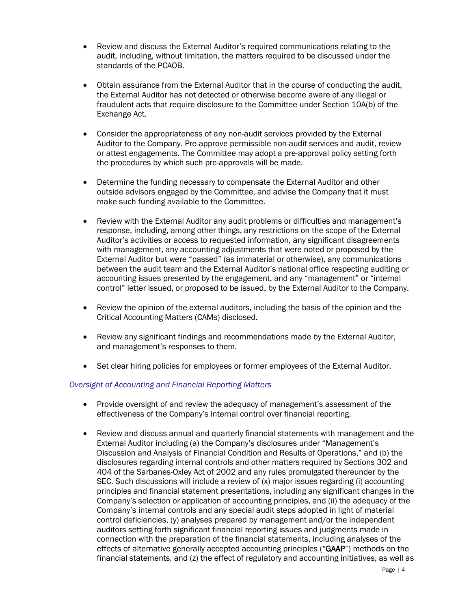- Review and discuss the External Auditor's required communications relating to the audit, including, without limitation, the matters required to be discussed under the standards of the PCAOB.
- Obtain assurance from the External Auditor that in the course of conducting the audit, the External Auditor has not detected or otherwise become aware of any illegal or fraudulent acts that require disclosure to the Committee under Section 10A(b) of the Exchange Act.
- Consider the appropriateness of any non-audit services provided by the External Auditor to the Company. Pre-approve permissible non-audit services and audit, review or attest engagements. The Committee may adopt a pre-approval policy setting forth the procedures by which such pre-approvals will be made.
- Determine the funding necessary to compensate the External Auditor and other outside advisors engaged by the Committee, and advise the Company that it must make such funding available to the Committee.
- Review with the External Auditor any audit problems or difficulties and management's response, including, among other things, any restrictions on the scope of the External Auditor's activities or access to requested information, any significant disagreements with management, any accounting adjustments that were noted or proposed by the External Auditor but were "passed" (as immaterial or otherwise), any communications between the audit team and the External Auditor's national office respecting auditing or accounting issues presented by the engagement, and any "management" or "internal control" letter issued, or proposed to be issued, by the External Auditor to the Company.
- Review the opinion of the external auditors, including the basis of the opinion and the Critical Accounting Matters (CAMs) disclosed.
- Review any significant findings and recommendations made by the External Auditor, and management's responses to them.
- Set clear hiring policies for employees or former employees of the External Auditor.

### *Oversight of Accounting and Financial Reporting Matters*

- Provide oversight of and review the adequacy of management's assessment of the effectiveness of the Company's internal control over financial reporting.
- Review and discuss annual and quarterly financial statements with management and the External Auditor including (a) the Company's disclosures under "Management's Discussion and Analysis of Financial Condition and Results of Operations," and (b) the disclosures regarding internal controls and other matters required by Sections 302 and 404 of the Sarbanes-Oxley Act of 2002 and any rules promulgated thereunder by the SEC. Such discussions will include a review of (x) major issues regarding (i) accounting principles and financial statement presentations, including any significant changes in the Company's selection or application of accounting principles, and (ii) the adequacy of the Company's internal controls and any special audit steps adopted in light of material control deficiencies, (y) analyses prepared by management and/or the independent auditors setting forth significant financial reporting issues and judgments made in connection with the preparation of the financial statements, including analyses of the effects of alternative generally accepted accounting principles ("GAAP") methods on the financial statements, and (z) the effect of regulatory and accounting initiatives, as well as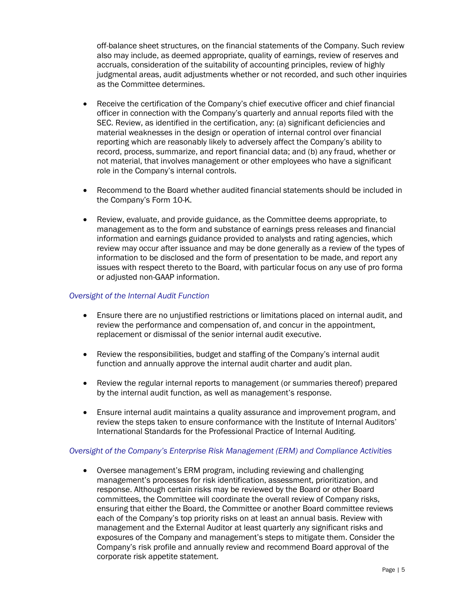off-balance sheet structures, on the financial statements of the Company. Such review also may include, as deemed appropriate, quality of earnings, review of reserves and accruals, consideration of the suitability of accounting principles, review of highly judgmental areas, audit adjustments whether or not recorded, and such other inquiries as the Committee determines.

- Receive the certification of the Company's chief executive officer and chief financial officer in connection with the Company's quarterly and annual reports filed with the SEC. Review, as identified in the certification, any: (a) significant deficiencies and material weaknesses in the design or operation of internal control over financial reporting which are reasonably likely to adversely affect the Company's ability to record, process, summarize, and report financial data; and (b) any fraud, whether or not material, that involves management or other employees who have a significant role in the Company's internal controls.
- Recommend to the Board whether audited financial statements should be included in the Company's Form 10-K.
- Review, evaluate, and provide guidance, as the Committee deems appropriate, to management as to the form and substance of earnings press releases and financial information and earnings guidance provided to analysts and rating agencies, which review may occur after issuance and may be done generally as a review of the types of information to be disclosed and the form of presentation to be made, and report any issues with respect thereto to the Board, with particular focus on any use of pro forma or adjusted non-GAAP information.

### *Oversight of the Internal Audit Function*

- Ensure there are no unjustified restrictions or limitations placed on internal audit, and review the performance and compensation of, and concur in the appointment, replacement or dismissal of the senior internal audit executive.
- Review the responsibilities, budget and staffing of the Company's internal audit function and annually approve the internal audit charter and audit plan.
- Review the regular internal reports to management (or summaries thereof) prepared by the internal audit function, as well as management's response.
- Ensure internal audit maintains a quality assurance and improvement program, and review the steps taken to ensure conformance with the Institute of Internal Auditors' International Standards for the Professional Practice of Internal Auditing.

### *Oversight of the Company's Enterprise Risk Management (ERM) and Compliance Activities*

• Oversee management's ERM program, including reviewing and challenging management's processes for risk identification, assessment, prioritization, and response. Although certain risks may be reviewed by the Board or other Board committees, the Committee will coordinate the overall review of Company risks, ensuring that either the Board, the Committee or another Board committee reviews each of the Company's top priority risks on at least an annual basis. Review with management and the External Auditor at least quarterly any significant risks and exposures of the Company and management's steps to mitigate them. Consider the Company's risk profile and annually review and recommend Board approval of the corporate risk appetite statement.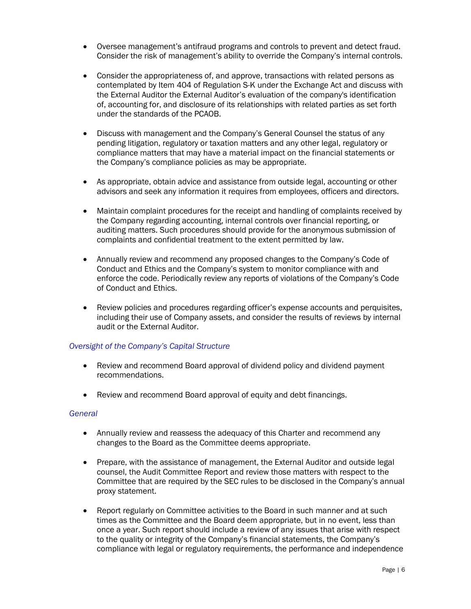- Oversee management's antifraud programs and controls to prevent and detect fraud. Consider the risk of management's ability to override the Company's internal controls.
- Consider the appropriateness of, and approve, transactions with related persons as contemplated by Item 404 of Regulation S-K under the Exchange Act and discuss with the External Auditor the External Auditor's evaluation of the company's identification of, accounting for, and disclosure of its relationships with related parties as set forth under the standards of the PCAOB.
- Discuss with management and the Company's General Counsel the status of any pending litigation, regulatory or taxation matters and any other legal, regulatory or compliance matters that may have a material impact on the financial statements or the Company's compliance policies as may be appropriate.
- As appropriate, obtain advice and assistance from outside legal, accounting or other advisors and seek any information it requires from employees, officers and directors.
- Maintain complaint procedures for the receipt and handling of complaints received by the Company regarding accounting, internal controls over financial reporting, or auditing matters. Such procedures should provide for the anonymous submission of complaints and confidential treatment to the extent permitted by law.
- Annually review and recommend any proposed changes to the Company's Code of Conduct and Ethics and the Company's system to monitor compliance with and enforce the code. Periodically review any reports of violations of the Company's Code of Conduct and Ethics.
- Review policies and procedures regarding officer's expense accounts and perquisites, including their use of Company assets, and consider the results of reviews by internal audit or the External Auditor.

### *Oversight of the Company's Capital Structure*

- Review and recommend Board approval of dividend policy and dividend payment recommendations.
- Review and recommend Board approval of equity and debt financings.

#### *General*

- Annually review and reassess the adequacy of this Charter and recommend any changes to the Board as the Committee deems appropriate.
- Prepare, with the assistance of management, the External Auditor and outside legal counsel, the Audit Committee Report and review those matters with respect to the Committee that are required by the SEC rules to be disclosed in the Company's annual proxy statement.
- Report regularly on Committee activities to the Board in such manner and at such times as the Committee and the Board deem appropriate, but in no event, less than once a year. Such report should include a review of any issues that arise with respect to the quality or integrity of the Company's financial statements, the Company's compliance with legal or regulatory requirements, the performance and independence